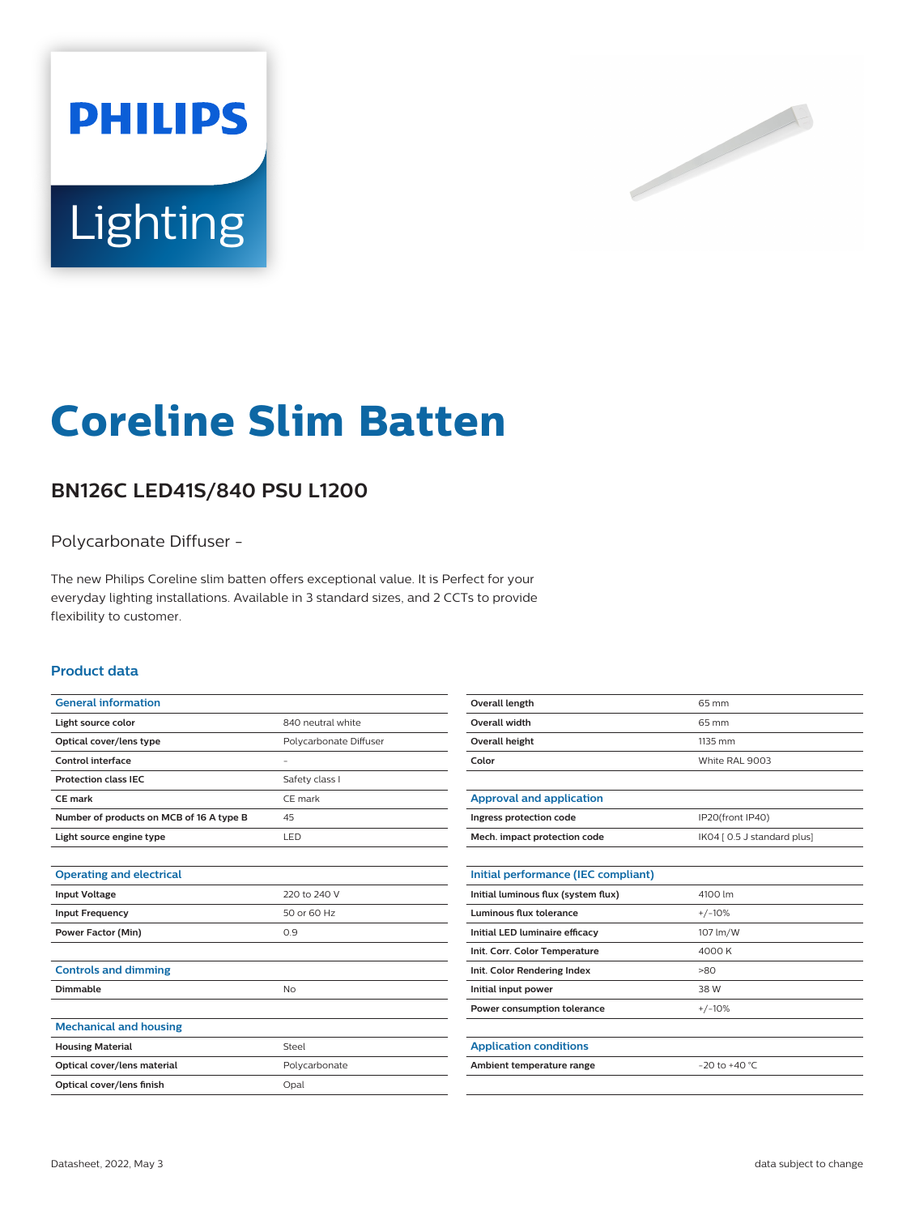



# **Coreline Slim Batten**

## **BN126C LED41S/840 PSU L1200**

#### Polycarbonate Diffuser -

The new Philips Coreline slim batten offers exceptional value. It is Perfect for your everyday lighting installations. Available in 3 standard sizes, and 2 CCTs to provide flexibility to customer.

#### **Product data**

| <b>General information</b>               |                        |
|------------------------------------------|------------------------|
| Light source color                       | 840 neutral white      |
| Optical cover/lens type                  | Polycarbonate Diffuser |
| Control interface                        |                        |
| <b>Protection class IEC</b>              | Safety class I         |
| <b>CE</b> mark                           | CE mark                |
| Number of products on MCB of 16 A type B | 45                     |
| Light source engine type                 | LED                    |
|                                          |                        |
| <b>Operating and electrical</b>          |                        |
| <b>Input Voltage</b>                     | 220 to 240 V           |
| <b>Input Frequency</b>                   | 50 or 60 Hz            |
| <b>Power Factor (Min)</b>                | 0.9                    |
|                                          |                        |
| <b>Controls and dimming</b>              |                        |
| Dimmable                                 | No                     |
|                                          |                        |
| <b>Mechanical and housing</b>            |                        |
| <b>Housing Material</b>                  | Steel                  |
| Optical cover/lens material              | Polycarbonate          |
| Optical cover/lens finish                | Opal                   |

| <b>Overall length</b>               | 65 mm                       |
|-------------------------------------|-----------------------------|
| Overall width                       | 65 mm                       |
| Overall height                      | 1135 mm                     |
| Color                               | White RAL 9003              |
|                                     |                             |
| <b>Approval and application</b>     |                             |
| Ingress protection code             | IP20(front IP40)            |
| Mech. impact protection code        | IK04 [ 0.5 J standard plus] |
|                                     |                             |
| Initial performance (IEC compliant) |                             |
| Initial luminous flux (system flux) | 4100 lm                     |
| Luminous flux tolerance             | $+/-10%$                    |
| Initial LED luminaire efficacy      | 107 lm/W                    |
| Init. Corr. Color Temperature       | 4000 K                      |
| Init. Color Rendering Index         | >80                         |
| Initial input power                 | 38 W                        |
| Power consumption tolerance         | $+/-10%$                    |
|                                     |                             |
| <b>Application conditions</b>       |                             |
| Ambient temperature range           | $-20$ to $+40$ °C           |
|                                     |                             |